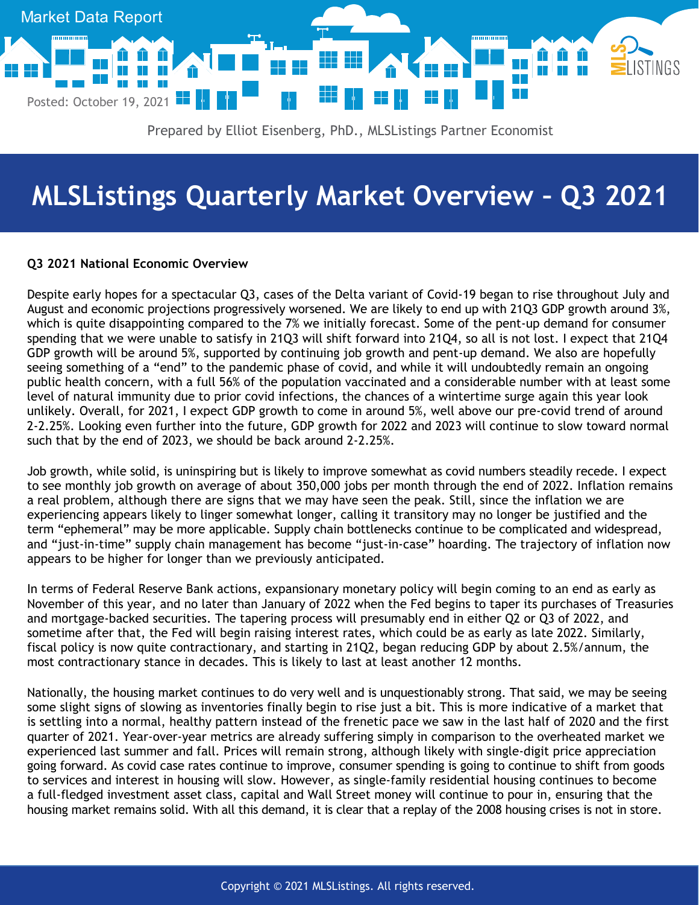

# **MLSListings Quarterly Market Overview – Q3 2021**

# **Q3 2021 National Economic Overview**

Despite early hopes for a spectacular Q3, cases of the Delta variant of Covid-19 began to rise throughout July and August and economic projections progressively worsened. We are likely to end up with 21Q3 GDP growth around 3%, which is quite disappointing compared to the 7% we initially forecast. Some of the pent-up demand for consumer spending that we were unable to satisfy in 21Q3 will shift forward into 21Q4, so all is not lost. I expect that 21Q4 GDP growth will be around 5%, supported by continuing job growth and pent-up demand. We also are hopefully seeing something of a "end" to the pandemic phase of covid, and while it will undoubtedly remain an ongoing public health concern, with a full 56% of the population vaccinated and a considerable number with at least some level of natural immunity due to prior covid infections, the chances of a wintertime surge again this year look unlikely. Overall, for 2021, I expect GDP growth to come in around 5%, well above our pre-covid trend of around 2-2.25%. Looking even further into the future, GDP growth for 2022 and 2023 will continue to slow toward normal such that by the end of 2023, we should be back around 2-2.25%.

Job growth, while solid, is uninspiring but is likely to improve somewhat as covid numbers steadily recede. I expect to see monthly job growth on average of about 350,000 jobs per month through the end of 2022. Inflation remains a real problem, although there are signs that we may have seen the peak. Still, since the inflation we are experiencing appears likely to linger somewhat longer, calling it transitory may no longer be justified and the term "ephemeral" may be more applicable. Supply chain bottlenecks continue to be complicated and widespread, and "just-in-time" supply chain management has become "just-in-case" hoarding. The trajectory of inflation now appears to be higher for longer than we previously anticipated.

In terms of Federal Reserve Bank actions, expansionary monetary policy will begin coming to an end as early as November of this year, and no later than January of 2022 when the Fed begins to taper its purchases of Treasuries and mortgage-backed securities. The tapering process will presumably end in either Q2 or Q3 of 2022, and sometime after that, the Fed will begin raising interest rates, which could be as early as late 2022. Similarly, fiscal policy is now quite contractionary, and starting in 21Q2, began reducing GDP by about 2.5%/annum, the most contractionary stance in decades. This is likely to last at least another 12 months.

Nationally, the housing market continues to do very well and is unquestionably strong. That said, we may be seeing some slight signs of slowing as inventories finally begin to rise just a bit. This is more indicative of a market that is settling into a normal, healthy pattern instead of the frenetic pace we saw in the last half of 2020 and the first quarter of 2021. Year-over-year metrics are already suffering simply in comparison to the overheated market we experienced last summer and fall. Prices will remain strong, although likely with single-digit price appreciation going forward. As covid case rates continue to improve, consumer spending is going to continue to shift from goods to services and interest in housing will slow. However, as single-family residential housing continues to become a full-fledged investment asset class, capital and Wall Street money will continue to pour in, ensuring that the housing market remains solid. With all this demand, it is clear that a replay of the 2008 housing crises is not in store.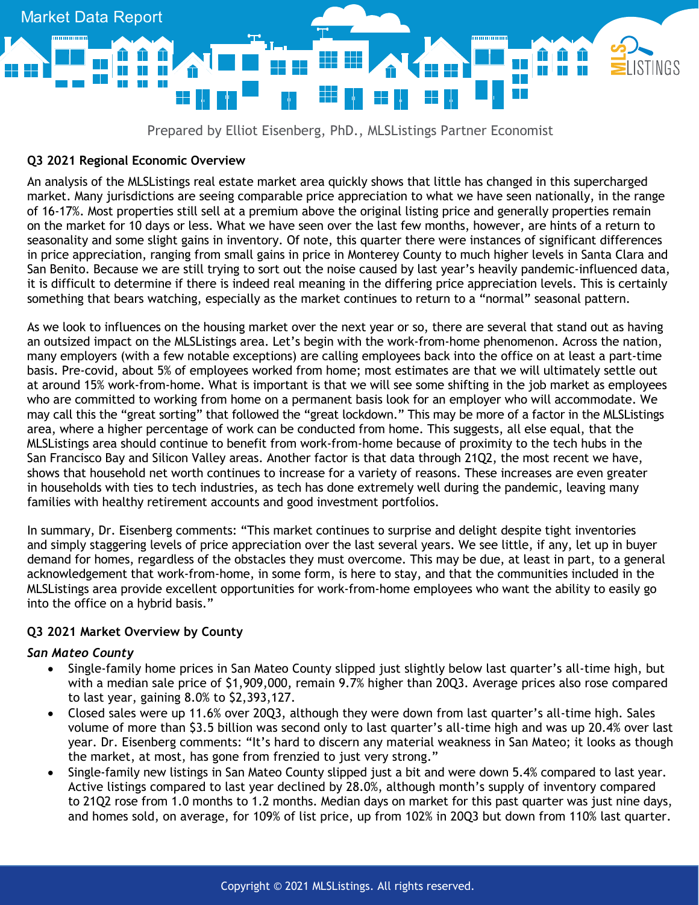

### **Q3 2021 Regional Economic Overview**

An analysis of the MLSListings real estate market area quickly shows that little has changed in this supercharged market. Many jurisdictions are seeing comparable price appreciation to what we have seen nationally, in the range of 16-17%. Most properties still sell at a premium above the original listing price and generally properties remain on the market for 10 days or less. What we have seen over the last few months, however, are hints of a return to seasonality and some slight gains in inventory. Of note, this quarter there were instances of significant differences in price appreciation, ranging from small gains in price in Monterey County to much higher levels in Santa Clara and San Benito. Because we are still trying to sort out the noise caused by last year's heavily pandemic-influenced data, it is difficult to determine if there is indeed real meaning in the differing price appreciation levels. This is certainly something that bears watching, especially as the market continues to return to a "normal" seasonal pattern.

As we look to influences on the housing market over the next year or so, there are several that stand out as having an outsized impact on the MLSListings area. Let's begin with the work-from-home phenomenon. Across the nation, many employers (with a few notable exceptions) are calling employees back into the office on at least a part-time basis. Pre-covid, about 5% of employees worked from home; most estimates are that we will ultimately settle out at around 15% work-from-home. What is important is that we will see some shifting in the job market as employees who are committed to working from home on a permanent basis look for an employer who will accommodate. We may call this the "great sorting" that followed the "great lockdown." This may be more of a factor in the MLSListings area, where a higher percentage of work can be conducted from home. This suggests, all else equal, that the MLSListings area should continue to benefit from work-from-home because of proximity to the tech hubs in the San Francisco Bay and Silicon Valley areas. Another factor is that data through 21Q2, the most recent we have, shows that household net worth continues to increase for a variety of reasons. These increases are even greater in households with ties to tech industries, as tech has done extremely well during the pandemic, leaving many families with healthy retirement accounts and good investment portfolios.

In summary, Dr. Eisenberg comments: "This market continues to surprise and delight despite tight inventories and simply staggering levels of price appreciation over the last several years. We see little, if any, let up in buyer demand for homes, regardless of the obstacles they must overcome. This may be due, at least in part, to a general acknowledgement that work-from-home, in some form, is here to stay, and that the communities included in the MLSListings area provide excellent opportunities for work-from-home employees who want the ability to easily go into the office on a hybrid basis."

### **Q3 2021 Market Overview by County**

#### *San Mateo County*

- Single-family home prices in San Mateo County slipped just slightly below last quarter's all-time high, but with a median sale price of \$1,909,000, remain 9.7% higher than 20Q3. Average prices also rose compared to last year, gaining 8.0% to \$2,393,127.
- Closed sales were up 11.6% over 20Q3, although they were down from last quarter's all-time high. Sales volume of more than \$3.5 billion was second only to last quarter's all-time high and was up 20.4% over last year. Dr. Eisenberg comments: "It's hard to discern any material weakness in San Mateo; it looks as though the market, at most, has gone from frenzied to just very strong."
- Single-family new listings in San Mateo County slipped just a bit and were down 5.4% compared to last year. Active listings compared to last year declined by 28.0%, although month's supply of inventory compared to 21Q2 rose from 1.0 months to 1.2 months. Median days on market for this past quarter was just nine days, and homes sold, on average, for 109% of list price, up from 102% in 20Q3 but down from 110% last quarter.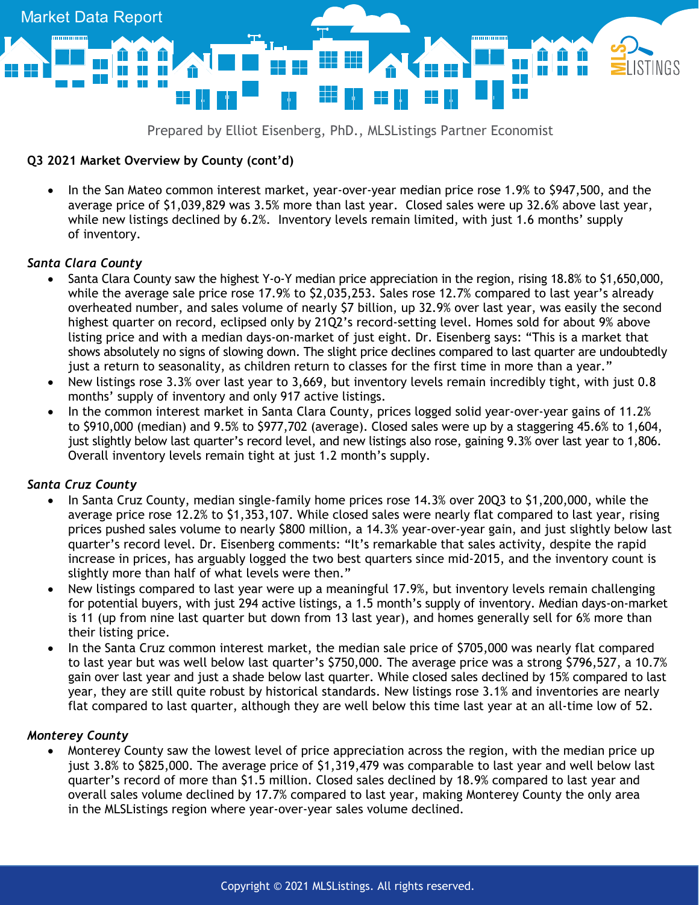

# **Q3 2021 Market Overview by County (cont'd)**

• In the San Mateo common interest market, year-over-year median price rose 1.9% to \$947,500, and the average price of \$1,039,829 was 3.5% more than last year. Closed sales were up 32.6% above last year, while new listings declined by 6.2%. Inventory levels remain limited, with just 1.6 months' supply of inventory.

### *Santa Clara County*

- Santa Clara County saw the highest Y-o-Y median price appreciation in the region, rising 18.8% to \$1,650,000, while the average sale price rose 17.9% to \$2,035,253. Sales rose 12.7% compared to last year's already overheated number, and sales volume of nearly \$7 billion, up 32.9% over last year, was easily the second highest quarter on record, eclipsed only by 21Q2's record-setting level. Homes sold for about 9% above listing price and with a median days-on-market of just eight. Dr. Eisenberg says: "This is a market that shows absolutely no signs of slowing down. The slight price declines compared to last quarter are undoubtedly just a return to seasonality, as children return to classes for the first time in more than a year."
- New listings rose 3.3% over last year to 3,669, but inventory levels remain incredibly tight, with just 0.8 months' supply of inventory and only 917 active listings.
- In the common interest market in Santa Clara County, prices logged solid year-over-year gains of 11.2% to \$910,000 (median) and 9.5% to \$977,702 (average). Closed sales were up by a staggering 45.6% to 1,604, just slightly below last quarter's record level, and new listings also rose, gaining 9.3% over last year to 1,806. Overall inventory levels remain tight at just 1.2 month's supply.

### *Santa Cruz County*

- In Santa Cruz County, median single-family home prices rose 14.3% over 20Q3 to \$1,200,000, while the average price rose 12.2% to \$1,353,107. While closed sales were nearly flat compared to last year, rising prices pushed sales volume to nearly \$800 million, a 14.3% year-over-year gain, and just slightly below last quarter's record level. Dr. Eisenberg comments: "It's remarkable that sales activity, despite the rapid increase in prices, has arguably logged the two best quarters since mid-2015, and the inventory count is slightly more than half of what levels were then."
- New listings compared to last year were up a meaningful 17.9%, but inventory levels remain challenging for potential buyers, with just 294 active listings, a 1.5 month's supply of inventory. Median days-on-market is 11 (up from nine last quarter but down from 13 last year), and homes generally sell for 6% more than their listing price.
- In the Santa Cruz common interest market, the median sale price of \$705,000 was nearly flat compared to last year but was well below last quarter's \$750,000. The average price was a strong \$796,527, a 10.7% gain over last year and just a shade below last quarter. While closed sales declined by 15% compared to last year, they are still quite robust by historical standards. New listings rose 3.1% and inventories are nearly flat compared to last quarter, although they are well below this time last year at an all-time low of 52.

### *Monterey County*

• Monterey County saw the lowest level of price appreciation across the region, with the median price up just 3.8% to \$825,000. The average price of \$1,319,479 was comparable to last year and well below last quarter's record of more than \$1.5 million. Closed sales declined by 18.9% compared to last year and overall sales volume declined by 17.7% compared to last year, making Monterey County the only area in the MLSListings region where year-over-year sales volume declined.